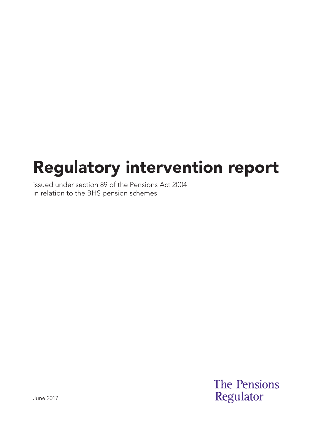# Regulatory intervention report

issued under section 89 of the Pensions Act 2004 in relation to the BHS pension schemes

> **The Pensions** Regulator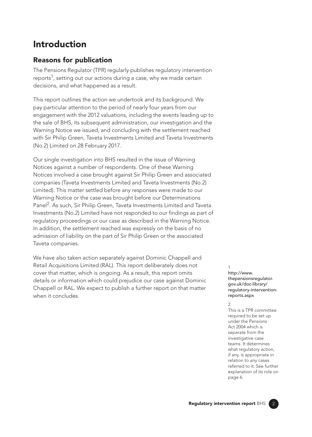# Introduction

# Reasons for publication

The Pensions Regulator (TPR) regularly publishes regulatory intervention reports<sup>1</sup>, setting out our actions during a case, why we made certain decisions, and what happened as a result.

This report outlines the action we undertook and its background. We pay particular attention to the period of nearly four years from our engagement with the 2012 valuations, including the events leading up to the sale of BHS, its subsequent administration, our investigation and the Warning Notice we issued, and concluding with the settlement reached with Sir Philip Green, Taveta Investments Limited and Taveta Investments (No.2) Limited on 28 February 2017.

Our single investigation into BHS resulted in the issue of Warning Notices against a number of respondents. One of these Warning Notices involved a case brought against Sir Philip Green and associated companies (Taveta Investments Limited and Taveta Investments (No.2) Limited). This matter settled before any responses were made to our Warning Notice or the case was brought before our Determinations Panel<sup>2</sup>. As such, Sir Philip Green, Taveta Investments Limited and Taveta Investments (No.2) Limited have not responded to our findings as part of regulatory proceedings or our case as described in the Warning Notice. In addition, the settlement reached was expressly on the basis of no admission of liability on the part of Sir Philip Green or the associated Taveta companies.

We have also taken action separately against Dominic Chappell and Retail Acquisitions Limited (RAL). This report deliberately does not cover that matter, which is ongoing. As a result, this report omits details or information which could prejudice our case against Dominic Chappell or RAL. We expect to publish a further report on that matter when it concludes.

#### 1 http://www. thepensionsregulator. gov.uk/doc-library/ [regulatory-intervention](https://www.thepensionsregulator.gov.uk/en/document-library/enforcement-activity/regulatory-intervention-reports)reports.aspx

2

This is a TPR committee required to be set up under the Pensions Act 2004 which is separate from the investigative case teams. It determines what regulatory action, if any, is appropriate in relation to any cases referred to it. See further explanation of its role on page 6.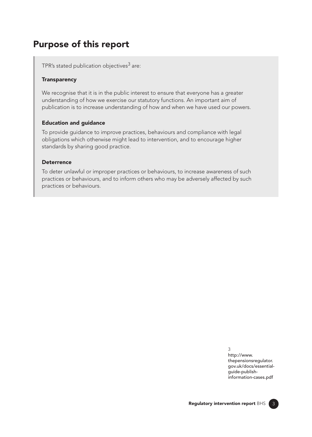# Purpose of this report

TPR's stated publication objectives $3$  are:

#### **Transparency**

We recognise that it is in the public interest to ensure that everyone has a greater understanding of how we exercise our statutory functions. An important aim of publication is to increase understanding of how and when we have used our powers.

#### Education and guidance

To provide guidance to improve practices, behaviours and compliance with legal obligations which otherwise might lead to intervention, and to encourage higher standards by sharing good practice.

#### **Deterrence**

To deter unlawful or improper practices or behaviours, to increase awareness of such practices or behaviours, and to inform others who may be adversely affected by such practices or behaviours.

> 3 http://www. thepensionsregulator. [gov.uk/docs/essential](https://www.thepensionsregulator.gov.uk/-/media/thepensionsregulator/files/import/pdf/essential-guide-publish-information-cases)guide-publishinformation-cases.pdf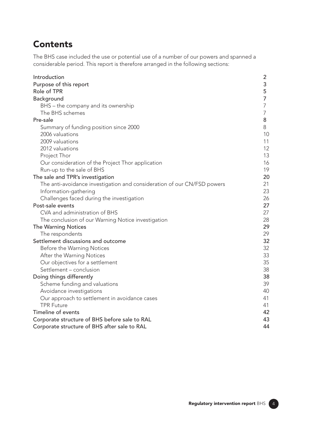# **Contents**

The BHS case included the use or potential use of a number of our powers and spanned a considerable period. This report is therefore arranged in the following sections:

| Introduction                                                            | $\overline{2}$ |
|-------------------------------------------------------------------------|----------------|
| Purpose of this report                                                  | 3              |
| Role of TPR                                                             | 5              |
| Background                                                              | 7              |
| BHS - the company and its ownership                                     | 7              |
| The BHS schemes                                                         | 7              |
| Pre-sale                                                                | 8              |
| Summary of funding position since 2000                                  | 8              |
| 2006 valuations                                                         | 10             |
| 2009 valuations                                                         | 11             |
| 2012 valuations                                                         | 12             |
| Project Thor                                                            | 13             |
| Our consideration of the Project Thor application                       | 16             |
| Run-up to the sale of BHS                                               | 19             |
| The sale and TPR's investigation                                        | 20             |
| The anti-avoidance investigation and consideration of our CN/FSD powers | 21             |
| Information-gathering                                                   | 23             |
| Challenges faced during the investigation                               | 26             |
| Post-sale events                                                        | 27             |
| CVA and administration of BHS                                           | 27             |
| The conclusion of our Warning Notice investigation                      | 28             |
| <b>The Warning Notices</b>                                              | 29             |
| The respondents                                                         | 29             |
| Settlement discussions and outcome                                      | 32             |
| Before the Warning Notices                                              | 32             |
| After the Warning Notices                                               | 33             |
| Our objectives for a settlement                                         | 35             |
| Settlement - conclusion                                                 | 38             |
| Doing things differently                                                | 38             |
| Scheme funding and valuations                                           | 39             |
| Avoidance investigations                                                | 40             |
| Our approach to settlement in avoidance cases                           | 41             |
| <b>TPR Future</b>                                                       | 41             |
| Timeline of events                                                      | 42             |
| Corporate structure of BHS before sale to RAL                           | 43             |
| Corporate structure of BHS after sale to RAL                            | 44             |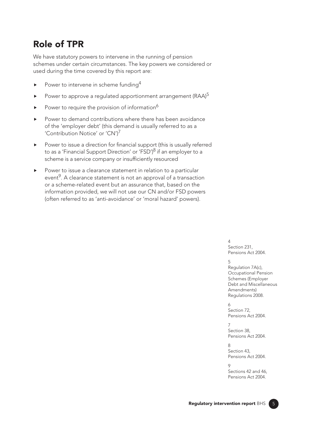# Role of TPR

We have statutory powers to intervene in the running of pension schemes under certain circumstances. The key powers we considered or used during the time covered by this report are:

- Power to intervene in scheme funding<sup>4</sup>
- Power to approve a regulated apportionment arrangement ( $\text{RAA}$ )<sup>5</sup>
- Power to require the provision of information<sup>6</sup>
- Power to demand contributions where there has been avoidance of the 'employer debt' (this demand is usually referred to as a 'Contribution Notice' or 'CN')7
- Power to issue a direction for financial support (this is usually referred to as a 'Financial Support Direction' or 'FSD')<sup>8</sup> if an employer to a scheme is a service company or insufficiently resourced
- Power to issue a clearance statement in relation to a particular event<sup>9</sup>. A clearance statement is not an approval of a transaction or a scheme-related event but an assurance that, based on the information provided, we will not use our CN and/or FSD powers (often referred to as 'anti-avoidance' or 'moral hazard' powers).

 $\Delta$ Section 231, Pensions Act 2004.

#### $\overline{a}$

Regulation 7A(c), Occupational Pension Schemes (Employer Debt and Miscellaneous Amendments) Regulations 2008.

 $\overline{a}$ Section 72, Pensions Act 2004.

 $\overline{7}$ Section 38. Pensions Act 2004.

 $\mathsf{R}$ Section 43, Pensions Act 2004.

 $\circ$ Sections 42 and 46. Pensions Act 2004.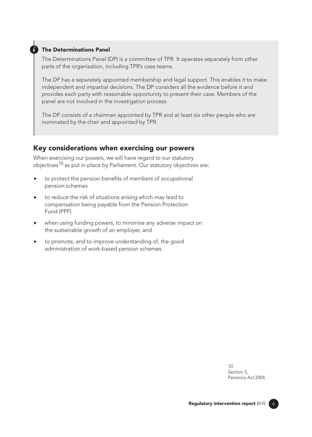#### *i* The Determinations Panel

The Determinations Panel (DP) is a committee of TPR. It operates separately from other parts of the organisation, including TPR's case teams.

The DP has a separately appointed membership and legal support. This enables it to make independent and impartial decisions. The DP considers all the evidence before it and provides each party with reasonable opportunity to present their case. Members of the panel are not involved in the investigation process.

The DP consists of a chairman appointed by TPR and at least six other people who are nominated by the chair and appointed by TPR.

#### Key considerations when exercising our powers

When exercising our powers, we will have regard to our statutory objectives<sup>10</sup> as put in place by Parliament. Our statutory objectives are:

- to protect the pension benefits of members of occupational pension schemes
- to reduce the risk of situations arising which may lead to compensation being payable from the Pension Protection Fund (PPF)
- when using funding powers, to minimise any adverse impact on the sustainable growth of an employer, and
- to promote, and to improve understanding of, the good administration of work-based pension schemes

 $1<sub>0</sub>$ Section 5, Pensions Act 2004.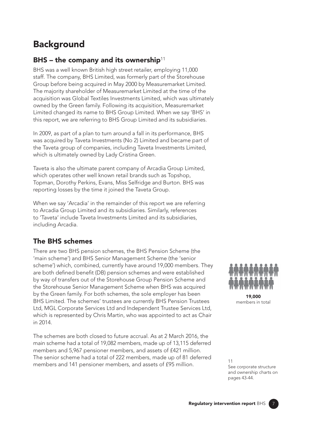# **Background**

# BHS – the company and its ownership<sup>11</sup>

BHS was a well known British high street retailer, employing 11,000 staff. The company, BHS Limited, was formerly part of the Storehouse Group before being acquired in May 2000 by Measuremarket Limited. The majority shareholder of Measuremarket Limited at the time of the acquisition was Global Textiles Investments Limited, which was ultimately owned by the Green family. Following its acquisition, Measuremarket Limited changed its name to BHS Group Limited. When we say 'BHS' in this report, we are referring to BHS Group Limited and its subsidiaries.

In 2009, as part of a plan to turn around a fall in its performance, BHS was acquired by Taveta Investments (No 2) Limited and became part of the Taveta group of companies, including Taveta Investments Limited, which is ultimately owned by Lady Cristina Green.

Taveta is also the ultimate parent company of Arcadia Group Limited, which operates other well known retail brands such as Topshop, Topman, Dorothy Perkins, Evans, Miss Selfridge and Burton. BHS was reporting losses by the time it joined the Taveta Group.

When we say 'Arcadia' in the remainder of this report we are referring to Arcadia Group Limited and its subsidiaries. Similarly, references to 'Taveta' include Taveta Investments Limited and its subsidiaries, including Arcadia.

# The BHS schemes

There are two BHS pension schemes, the BHS Pension Scheme (the 'main scheme') and BHS Senior Management Scheme (the 'senior scheme') which, combined, currently have around 19,000 members. They are both defined benefit (DB) pension schemes and were established by way of transfers out of the Storehouse Group Pension Scheme and the Storehouse Senior Management Scheme when BHS was acquired by the Green family. For both schemes, the sole employer has been BHS Limited. The schemes' trustees are currently BHS Pension Trustees Ltd, MGL Corporate Services Ltd and Independent Trustee Services Ltd, which is represented by Chris Martin, who was appointed to act as Chair in 2014.

The schemes are both closed to future accrual. As at 2 March 2016, the main scheme had a total of 19,082 members, made up of 13,115 deferred members and 5,967 pensioner members, and assets of £421 million. The senior scheme had a total of 222 members, made up of 81 deferred me sense censive had a total of ELE mombols, made ap of or defensed 11<br>members and 141 pensioner members, and assets of £95 million.



19,000 members in total

See corporate structure and ownership charts on pages 43-44.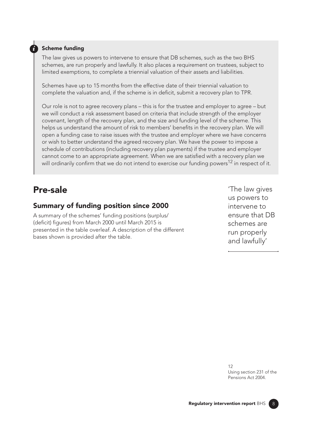#### **Scheme funding**

The law gives us powers to intervene to ensure that DB schemes, such as the two BHS schemes, are run properly and lawfully. It also places a requirement on trustees, subject to limited exemptions, to complete a triennial valuation of their assets and liabilities.

Schemes have up to 15 months from the effective date of their triennial valuation to complete the valuation and, if the scheme is in deficit, submit a recovery plan to TPR.

Our role is not to agree recovery plans – this is for the trustee and employer to agree – but we will conduct a risk assessment based on criteria that include strength of the employer covenant, length of the recovery plan, and the size and funding level of the scheme. This helps us understand the amount of risk to members' benefts in the recovery plan. We will open a funding case to raise issues with the trustee and employer where we have concerns or wish to better understand the agreed recovery plan. We have the power to impose a schedule of contributions (including recovery plan payments) if the trustee and employer cannot come to an appropriate agreement. When we are satisfed with a recovery plan we will ordinarily confirm that we do not intend to exercise our funding powers<sup>12</sup> in respect of it.

# Pre-sale

### Summary of funding position since 2000

A summary of the schemes' funding positions (surplus/ (deficit) figures) from March 2000 until March 2015 is presented in the table overleaf. A description of the different bases shown is provided after the table.

'The law gives us powers to intervene to ensure that DB schemes are run properly and lawfully'

12 Using section 231 of the Pensions Act 2004.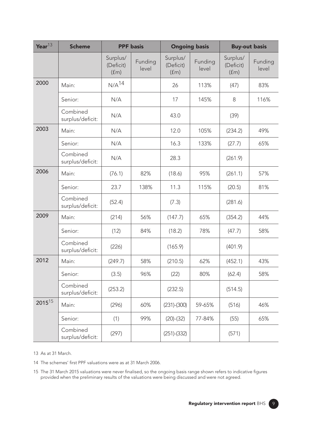| Year $^{13}$ | <b>Scheme</b>                | <b>PPF</b> basis              |                  | <b>Ongoing basis</b>          |                  | <b>Buy-out basis</b>          |                  |
|--------------|------------------------------|-------------------------------|------------------|-------------------------------|------------------|-------------------------------|------------------|
|              |                              | Surplus/<br>(Deficit)<br>(fm) | Funding<br>level | Surplus/<br>(Deficit)<br>(fm) | Funding<br>level | Surplus/<br>(Deficit)<br>(fm) | Funding<br>level |
| 2000         | Main:                        | N/A <sup>14</sup>             |                  | 26                            | 113%             | (47)                          | 83%              |
|              | Senior:                      | N/A                           |                  | 17                            | 145%             | 8                             | 116%             |
|              | Combined<br>surplus/deficit: | N/A                           |                  | 43.0                          |                  | (39)                          |                  |
| 2003         | Main:                        | N/A                           |                  | 12.0                          | 105%             | (234.2)                       | 49%              |
|              | Senior:                      | N/A                           |                  | 16.3                          | 133%             | (27.7)                        | 65%              |
|              | Combined<br>surplus/deficit: | N/A                           |                  | 28.3                          |                  | (261.9)                       |                  |
| 2006         | Main:                        | (76.1)                        | 82%              | (18.6)                        | 95%              | (261.1)                       | 57%              |
|              | Senior:                      | 23.7                          | 138%             | 11.3                          | 115%             | (20.5)                        | 81%              |
|              | Combined<br>surplus/deficit: | (52.4)                        |                  | (7.3)                         |                  | (281.6)                       |                  |
| 2009         | Main:                        | (214)                         | 56%              | (147.7)                       | 65%              | (354.2)                       | 44%              |
|              | Senior:                      | (12)                          | 84%              | (18.2)                        | 78%              | (47.7)                        | 58%              |
|              | Combined<br>surplus/deficit: | (226)                         |                  | (165.9)                       |                  | (401.9)                       |                  |
| 2012         | Main:                        | (249.7)                       | 58%              | (210.5)                       | 62%              | (452.1)                       | 43%              |
|              | Senior:                      | (3.5)                         | 96%              | (22)                          | 80%              | (62.4)                        | 58%              |
|              | Combined<br>surplus/deficit: | (253.2)                       |                  | (232.5)                       |                  | (514.5)                       |                  |
| $2015^{15}$  | Main:                        | (296)                         | 60%              | $(231)$ - $(300)$             | 59-65%           | (516)                         | 46%              |
|              | Senior:                      | (1)                           | 99%              | $(20)-(32)$                   | 77-84%           | (55)                          | 65%              |
|              | Combined<br>surplus/deficit: | (297)                         |                  | $(251)-(332)$                 |                  | (571)                         |                  |

13 As at 31 March.

14 The schemes' first PPF valuations were as at 31 March 2006.

15 The 31 March 2015 valuations were never fnalised, so the ongoing basis range shown refers to indicative fgures provided when the preliminary results of the valuations were being discussed and were not agreed.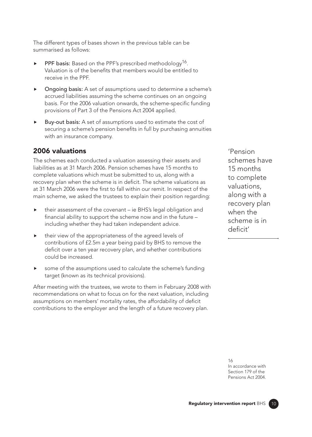The different types of bases shown in the previous table can be summarised as follows:

- **PPF basis:** Based on the PPF's prescribed methodology<sup>16</sup>. Valuation is of the benefts that members would be entitled to receive in the PPF.
- Ongoing basis: A set of assumptions used to determine a scheme's accrued liabilities assuming the scheme continues on an ongoing basis. For the 2006 valuation onwards, the scheme-specific funding provisions of Part 3 of the Pensions Act 2004 applied.
- Buy-out basis: A set of assumptions used to estimate the cost of securing a scheme's pension benefits in full by purchasing annuities with an insurance company.

# 2006 valuations

The schemes each conducted a valuation assessing their assets and liabilities as at 31 March 2006. Pension schemes have 15 months to complete valuations which must be submitted to us, along with a recovery plan when the scheme is in deficit. The scheme valuations as at 31 March 2006 were the frst to fall within our remit. In respect of the main scheme, we asked the trustees to explain their position regarding:

- their assessment of the covenant ie BHS's legal obligation and fnancial ability to support the scheme now and in the future – including whether they had taken independent advice.
- $\triangleright$  their view of the appropriateness of the agreed levels of contributions of £2.5m a year being paid by BHS to remove the deficit over a ten year recovery plan, and whether contributions could be increased.
- some of the assumptions used to calculate the scheme's funding target (known as its technical provisions).

After meeting with the trustees, we wrote to them in February 2008 with recommendations on what to focus on for the next valuation, including assumptions on members' mortality rates, the affordability of deficit contributions to the employer and the length of a future recovery plan.

'Pension schemes have 15 months to complete valuations, along with a recovery plan when the scheme is in deficit'

16 In accordance with Section 179 of the Pensions Act 2004.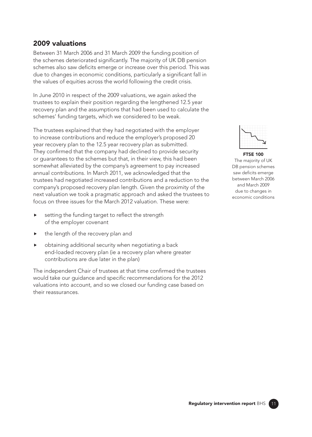### 2009 valuations

Between 31 March 2006 and 31 March 2009 the funding position of the schemes deteriorated significantly. The majority of UK DB pension schemes also saw deficits emerge or increase over this period. This was due to changes in economic conditions, particularly a signifcant fall in the values of equities across the world following the credit crisis.

In June 2010 in respect of the 2009 valuations, we again asked the trustees to explain their position regarding the lengthened 12.5 year recovery plan and the assumptions that had been used to calculate the schemes' funding targets, which we considered to be weak.

The trustees explained that they had negotiated with the employer to increase contributions and reduce the employer's proposed 20 year recovery plan to the 12.5 year recovery plan as submitted. They confirmed that the company had declined to provide security or guarantees to the schemes but that, in their view, this had been somewhat alleviated by the company's agreement to pay increased annual contributions. In March 2011, we acknowledged that the trustees had negotiated increased contributions and a reduction to the company's proposed recovery plan length. Given the proximity of the next valuation we took a pragmatic approach and asked the trustees to focus on three issues for the March 2012 valuation. These were:

- setting the funding target to reflect the strength of the employer covenant
- the length of the recovery plan and
- obtaining additional security when negotiating a back end-loaded recovery plan (ie a recovery plan where greater contributions are due later in the plan)

The independent Chair of trustees at that time confirmed the trustees would take our quidance and specific recommendations for the 2012 valuations into account, and so we closed our funding case based on their reassurances.



#### FTSE 100

The majority of UK DB pension schemes saw deficits emerge between March 2006 and March 2009 due to changes in economic conditions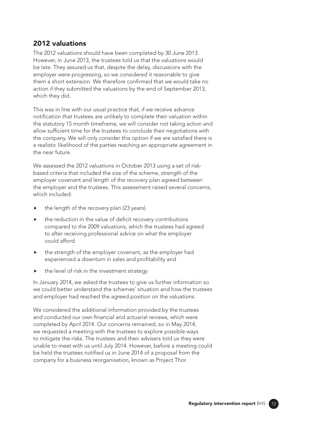### 2012 valuations

The 2012 valuations should have been completed by 30 June 2013. However, in June 2013, the trustees told us that the valuations would be late. They assured us that, despite the delay, discussions with the employer were progressing, so we considered it reasonable to give them a short extension. We therefore confirmed that we would take no action if they submitted the valuations by the end of September 2013, which they did.

This was in line with our usual practice that, if we receive advance notifcation that trustees are unlikely to complete their valuation within the statutory 15 month timeframe, we will consider not taking action and allow sufficient time for the trustees to conclude their negotiations with the company. We will only consider this option if we are satisfed there is a realistic likelihood of the parties reaching an appropriate agreement in the near future.

We assessed the 2012 valuations in October 2013 using a set of riskbased criteria that included the size of the scheme, strength of the employer covenant and length of the recovery plan agreed between the employer and the trustees. This assessment raised several concerns, which included:

- the length of the recovery plan (23 years)
- $\blacktriangleright$  the reduction in the value of deficit recovery contributions compared to the 2009 valuations, which the trustees had agreed to after receiving professional advice on what the employer could afford
- the strength of the employer covenant, as the employer had experienced a downturn in sales and profitability and
- the level of risk in the investment strategy

In January 2014, we asked the trustees to give us further information so we could better understand the schemes' situation and how the trustees and employer had reached the agreed position on the valuations.

We considered the additional information provided by the trustees and conducted our own fnancial and actuarial reviews, which were completed by April 2014. Our concerns remained, so in May 2014, we requested a meeting with the trustees to explore possible ways to mitigate the risks. The trustees and their advisers told us they were unable to meet with us until July 2014. However, before a meeting could be held the trustees notifed us in June 2014 of a proposal from the company for a business reorganisation, known as Project Thor.

 $12<sup>7</sup>$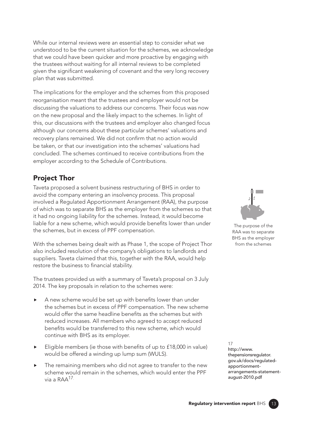While our internal reviews were an essential step to consider what we understood to be the current situation for the schemes, we acknowledge that we could have been quicker and more proactive by engaging with the trustees without waiting for all internal reviews to be completed given the signifcant weakening of covenant and the very long recovery plan that was submitted.

The implications for the employer and the schemes from this proposed reorganisation meant that the trustees and employer would not be discussing the valuations to address our concerns. Their focus was now on the new proposal and the likely impact to the schemes. In light of this, our discussions with the trustees and employer also changed focus although our concerns about these particular schemes' valuations and recovery plans remained. We did not confrm that no action would be taken, or that our investigation into the schemes' valuations had concluded. The schemes continued to receive contributions from the employer according to the Schedule of Contributions.

# Project Thor

Taveta proposed a solvent business restructuring of BHS in order to avoid the company entering an insolvency process. This proposal involved a Regulated Apportionment Arrangement (RAA), the purpose of which was to separate BHS as the employer from the schemes so that it had no ongoing liability for the schemes. Instead, it would become liable for a new scheme, which would provide benefits lower than under the schemes, but in excess of PPF compensation.

With the schemes being dealt with as Phase 1, the scope of Project Thor also included resolution of the company's obligations to landlords and suppliers. Taveta claimed that this, together with the RAA, would help restore the business to financial stability.

The trustees provided us with a summary of Taveta's proposal on 3 July 2014. The key proposals in relation to the schemes were:

- $\blacktriangleright$  A new scheme would be set up with benefits lower than under the schemes but in excess of PPF compensation. The new scheme would offer the same headline benefts as the schemes but with reduced increases. All members who agreed to accept reduced benefts would be transferred to this new scheme, which would continue with BHS as its employer.
- $\blacktriangleright$  Eligible members (ie those with benefits of up to £18,000 in value) would be offered a winding up lump sum (WULS).
- The remaining members who did not agree to transfer to the new scheme would remain in the schemes, which would enter the PPF via a RAA<sup>17.</sup>



The purpose of the RAA was to separate BHS as the employer from the schemes

17 http://www. thepensionsregulator. gov.uk/docs/regulatedapportionment[arrangements-statement](https://www.thepensionsregulator.gov.uk/-/media/thepensionsregulator/files/import/pdf/regulated-apportionment-arrangements-statement-august-2010.ashx)august-2010.pdf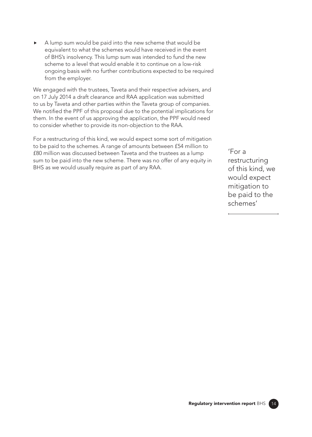A lump sum would be paid into the new scheme that would be equivalent to what the schemes would have received in the event of BHS's insolvency. This lump sum was intended to fund the new scheme to a level that would enable it to continue on a low-risk ongoing basis with no further contributions expected to be required from the employer.

We engaged with the trustees, Taveta and their respective advisers, and on 17 July 2014 a draft clearance and RAA application was submitted to us by Taveta and other parties within the Taveta group of companies. We notified the PPF of this proposal due to the potential implications for them. In the event of us approving the application, the PPF would need to consider whether to provide its non-objection to the RAA.

For a restructuring of this kind, we would expect some sort of mitigation to be paid to the schemes. A range of amounts between £54 million to £80 million was discussed between Taveta and the trustees as a lump sum to be paid into the new scheme. There was no offer of any equity in BHS as we would usually require as part of any RAA.

'For a restructuring of this kind, we would expect mitigation to be paid to the schemes'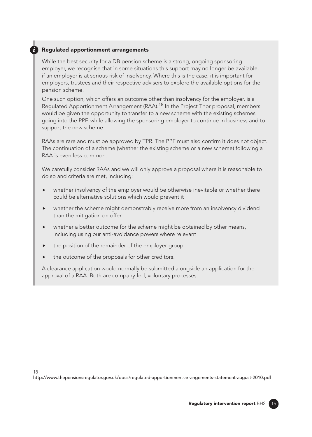#### *i* Regulated apportionment arrangements

While the best security for a DB pension scheme is a strong, ongoing sponsoring employer, we recognise that in some situations this support may no longer be available, if an employer is at serious risk of insolvency. Where this is the case, it is important for employers, trustees and their respective advisers to explore the available options for the pension scheme.

One such option, which offers an outcome other than insolvency for the employer, is a Regulated Apportionment Arrangement (RAA).<sup>18</sup> In the Project Thor proposal, members would be given the opportunity to transfer to a new scheme with the existing schemes going into the PPF, while allowing the sponsoring employer to continue in business and to support the new scheme.

RAAs are rare and must be approved by TPR. The PPF must also confirm it does not object. The continuation of a scheme (whether the existing scheme or a new scheme) following a RAA is even less common.

We carefully consider RAAs and we will only approve a proposal where it is reasonable to do so and criteria are met, including:

- whether insolvency of the employer would be otherwise inevitable or whether there could be alternative solutions which would prevent it
- whether the scheme might demonstrably receive more from an insolvency dividend than the mitigation on offer
- whether a better outcome for the scheme might be obtained by other means, including using our anti-avoidance powers where relevant
- $\blacktriangleright$  the position of the remainder of the employer group
- the outcome of the proposals for other creditors.

A clearance application would normally be submitted alongside an application for the approval of a RAA. Both are company-led, voluntary processes.

18

[http://www.thepensionsregulator.gov.uk/docs/regulated-apportionment-arrangements-statement-august-2010.pdf](https://www.thepensionsregulator.gov.uk/-/media/thepensionsregulator/files/import/pdf/regulated-apportionment-arrangements-statement-august-2010.ashx)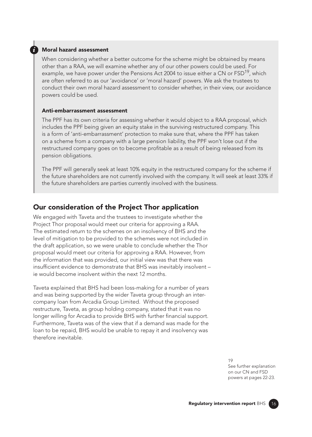#### *i* Moral hazard assessment

When considering whether a better outcome for the scheme might be obtained by means other than a RAA, we will examine whether any of our other powers could be used. For example, we have power under the Pensions Act 2004 to issue either a CN or  $FSD^{19}$ , which are often referred to as our 'avoidance' or 'moral hazard' powers. We ask the trustees to conduct their own moral hazard assessment to consider whether, in their view, our avoidance powers could be used.

#### Anti-embarrassment assessment

The PPF has its own criteria for assessing whether it would object to a RAA proposal, which includes the PPF being given an equity stake in the surviving restructured company. This is a form of 'anti-embarrassment' protection to make sure that, where the PPF has taken on a scheme from a company with a large pension liability, the PPF won't lose out if the restructured company goes on to become proftable as a result of being released from its pension obligations.

The PPF will generally seek at least 10% equity in the restructured company for the scheme if the future shareholders are not currently involved with the company. It will seek at least 33% if the future shareholders are parties currently involved with the business.

#### Our consideration of the Project Thor application

We engaged with Taveta and the trustees to investigate whether the Project Thor proposal would meet our criteria for approving a RAA. The estimated return to the schemes on an insolvency of BHS and the level of mitigation to be provided to the schemes were not included in the draft application, so we were unable to conclude whether the Thor proposal would meet our criteria for approving a RAA. However, from the information that was provided, our initial view was that there was insufficient evidence to demonstrate that BHS was inevitably insolvent ie would become insolvent within the next 12 months.

Taveta explained that BHS had been loss-making for a number of years and was being supported by the wider Taveta group through an intercompany loan from Arcadia Group Limited. Without the proposed restructure, Taveta, as group holding company, stated that it was no longer willing for Arcadia to provide BHS with further financial support. Furthermore, Taveta was of the view that if a demand was made for the loan to be repaid, BHS would be unable to repay it and insolvency was therefore inevitable.

> 19 See further explanation on our CN and FSD powers at pages 22-23.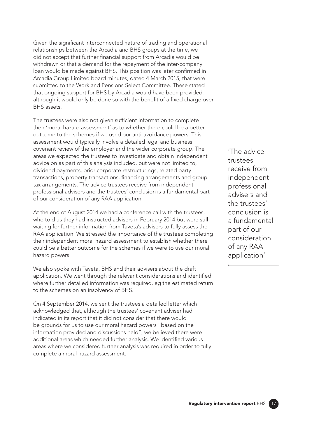Given the signifcant interconnected nature of trading and operational relationships between the Arcadia and BHS groups at the time, we did not accept that further fnancial support from Arcadia would be withdrawn or that a demand for the repayment of the inter-company loan would be made against BHS. This position was later confrmed in Arcadia Group Limited board minutes, dated 4 March 2015, that were submitted to the Work and Pensions Select Committee. These stated that ongoing support for BHS by Arcadia would have been provided, although it would only be done so with the benefit of a fixed charge over BHS assets.

The trustees were also not given sufficient information to complete their 'moral hazard assessment' as to whether there could be a better outcome to the schemes if we used our anti-avoidance powers. This assessment would typically involve a detailed legal and business covenant review of the employer and the wider corporate group. The areas we expected the trustees to investigate and obtain independent advice on as part of this analysis included, but were not limited to, dividend payments, prior corporate restructurings, related party transactions, property transactions, fnancing arrangements and group tax arrangements. The advice trustees receive from independent professional advisers and the trustees' conclusion is a fundamental part of our consideration of any RAA application.

At the end of August 2014 we had a conference call with the trustees, who told us they had instructed advisers in February 2014 but were still waiting for further information from Taveta's advisers to fully assess the RAA application. We stressed the importance of the trustees completing their independent moral hazard assessment to establish whether there could be a better outcome for the schemes if we were to use our moral hazard powers.

We also spoke with Taveta, BHS and their advisers about the draft application. We went through the relevant considerations and identifed where further detailed information was required, eg the estimated return to the schemes on an insolvency of BHS.

On 4 September 2014, we sent the trustees a detailed letter which acknowledged that, although the trustees' covenant adviser had indicated in its report that it did not consider that there would be grounds for us to use our moral hazard powers "based on the information provided and discussions held", we believed there were additional areas which needed further analysis. We identifed various areas where we considered further analysis was required in order to fully complete a moral hazard assessment.

'The advice trustees receive from independent professional advisers and the trustees' conclusion is a fundamental part of our consideration of any RAA application'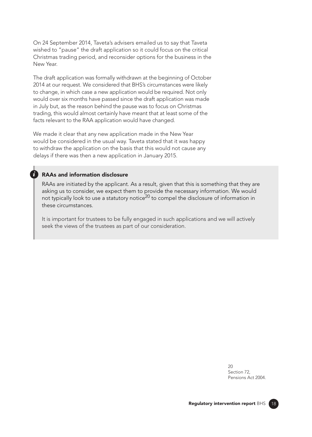On 24 September 2014, Taveta's advisers emailed us to say that Taveta wished to "pause" the draft application so it could focus on the critical Christmas trading period, and reconsider options for the business in the New Year.

The draft application was formally withdrawn at the beginning of October 2014 at our request. We considered that BHS's circumstances were likely to change, in which case a new application would be required. Not only would over six months have passed since the draft application was made in July but, as the reason behind the pause was to focus on Christmas trading, this would almost certainly have meant that at least some of the facts relevant to the RAA application would have changed.

We made it clear that any new application made in the New Year would be considered in the usual way. Taveta stated that it was happy to withdraw the application on the basis that this would not cause any delays if there was then a new application in January 2015.

#### *i* RAAs and information disclosure

RAAs are initiated by the applicant. As a result, given that this is something that they are asking us to consider, we expect them to provide the necessary information. We would not typically look to use a statutory notice<sup>20</sup> to compel the disclosure of information in these circumstances.

It is important for trustees to be fully engaged in such applications and we will actively seek the views of the trustees as part of our consideration.

> $20$ Section 72, Pensions Act 2004.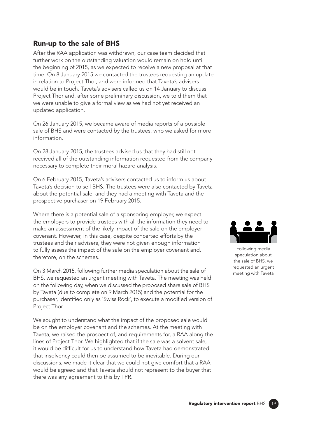### Run-up to the sale of BHS

After the RAA application was withdrawn, our case team decided that further work on the outstanding valuation would remain on hold until the beginning of 2015, as we expected to receive a new proposal at that time. On 8 January 2015 we contacted the trustees requesting an update in relation to Project Thor, and were informed that Taveta's advisers would be in touch. Taveta's advisers called us on 14 January to discuss Project Thor and, after some preliminary discussion, we told them that we were unable to give a formal view as we had not yet received an updated application.

On 26 January 2015, we became aware of media reports of a possible sale of BHS and were contacted by the trustees, who we asked for more information.

On 28 January 2015, the trustees advised us that they had still not received all of the outstanding information requested from the company necessary to complete their moral hazard analysis.

On 6 February 2015, Taveta's advisers contacted us to inform us about Taveta's decision to sell BHS. The trustees were also contacted by Taveta about the potential sale, and they had a meeting with Taveta and the prospective purchaser on 19 February 2015.

Where there is a potential sale of a sponsoring employer, we expect the employers to provide trustees with all the information they need to make an assessment of the likely impact of the sale on the employer covenant. However, in this case, despite concerted efforts by the trustees and their advisers, they were not given enough information to fully assess the impact of the sale on the employer covenant and, therefore, on the schemes.

On 3 March 2015, following further media speculation about the sale of BHS, we requested an urgent meeting with Taveta. The meeting was held on the following day, when we discussed the proposed share sale of BHS by Taveta (due to complete on 9 March 2015) and the potential for the purchaser, identified only as 'Swiss Rock', to execute a modified version of Project Thor.

We sought to understand what the impact of the proposed sale would be on the employer covenant and the schemes. At the meeting with Taveta, we raised the prospect of, and requirements for, a RAA along the lines of Project Thor. We highlighted that if the sale was a solvent sale, it would be difficult for us to understand how Taveta had demonstrated that insolvency could then be assumed to be inevitable. During our discussions, we made it clear that we could not give comfort that a RAA would be agreed and that Taveta should not represent to the buyer that there was any agreement to this by TPR.



Following media speculation about the sale of BHS, we requested an urgent meeting with Taveta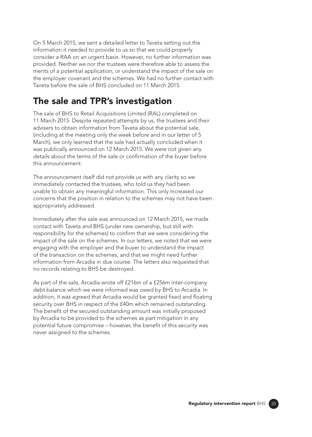On 5 March 2015, we sent a detailed letter to Taveta setting out the information it needed to provide to us so that we could properly consider a RAA on an urgent basis. However, no further information was provided. Neither we nor the trustees were therefore able to assess the merits of a potential application, or understand the impact of the sale on the employer covenant and the schemes. We had no further contact with Taveta before the sale of BHS concluded on 11 March 2015.

# The sale and TPR's investigation

The sale of BHS to Retail Acquisitions Limited (RAL) completed on 11 March 2015. Despite repeated attempts by us, the trustees and their advisers to obtain information from Taveta about the potential sale, (including at the meeting only the week before and in our letter of 5 March), we only learned that the sale had actually concluded when it was publically announced on 12 March 2015. We were not given any details about the terms of the sale or confrmation of the buyer before this announcement.

The announcement itself did not provide us with any clarity so we immediately contacted the trustees, who told us they had been unable to obtain any meaningful information. This only increased our concerns that the position in relation to the schemes may not have been appropriately addressed.

Immediately after the sale was announced on 12 March 2015, we made contact with Taveta and BHS (under new ownership, but still with responsibility for the schemes) to confrm that we were considering the impact of the sale on the schemes. In our letters, we noted that we were engaging with the employer and the buyer to understand the impact of the transaction on the schemes, and that we might need further information from Arcadia in due course. The letters also requested that no records relating to BHS be destroyed.

As part of the sale, Arcadia wrote off £216m of a £256m inter-company debt balance which we were informed was owed by BHS to Arcadia. In addition, it was agreed that Arcadia would be granted fixed and floating security over BHS in respect of the £40m which remained outstanding. The benefit of the secured outstanding amount was initially proposed by Arcadia to be provided to the schemes as part mitigation in any potential future compromise – however, the beneft of this security was never assigned to the schemes.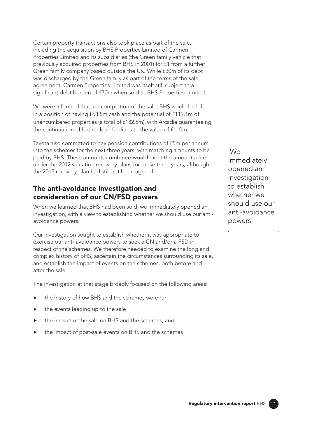Certain property transactions also took place as part of the sale, including the acquisition by BHS Properties Limited of Carmen Properties Limited and its subsidiaries (the Green family vehicle that previously acquired properties from BHS in 2001) for £1 from a further Green family company based outside the UK. While £30m of its debt was discharged by the Green family as part of the terms of the sale agreement, Carmen Properties Limited was itself still subject to a significant debt burden of £70m when sold to BHS Properties Limited.

We were informed that, on completion of the sale, BHS would be left in a position of having £63.5m cash and the potential of £119.1m of unencumbered properties (a total of £182.6m), with Arcadia guaranteeing the continuation of further loan facilities to the value of £110m.

Taveta also committed to pay pension contributions of £5m per annum into the schemes for the next three years, with matching amounts to be paid by BHS. These amounts combined would meet the amounts due under the 2012 valuation recovery plans for those three years, although the 2015 recovery plan had still not been agreed.

# The anti-avoidance investigation and consideration of our CN/FSD powers

When we learned that BHS had been sold, we immediately opened an investigation, with a view to establishing whether we should use our antiavoidance powers.

Our investigation sought to establish whether it was appropriate to exercise our anti-avoidance powers to seek a CN and/or a FSD in respect of the schemes. We therefore needed to examine the long and complex history of BHS, ascertain the circumstances surrounding its sale, and establish the impact of events on the schemes, both before and after the sale.

The investigation at that stage broadly focused on the following areas:

- the history of how BHS and the schemes were run
- the events leading up to the sale
- the impact of the sale on BHS and the schemes, and
- the impact of post-sale events on BHS and the schemes

'We immediately opened an investigation to establish whether we should use our anti-avoidance powers'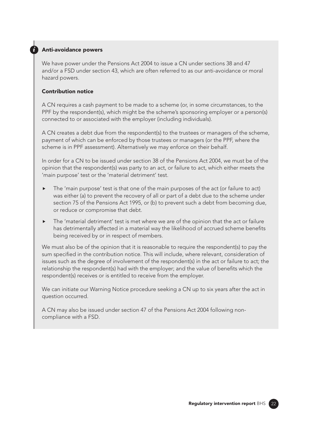#### *i* Anti-avoidance powers

We have power under the Pensions Act 2004 to issue a CN under sections 38 and 47 and/or a FSD under section 43, which are often referred to as our anti-avoidance or moral hazard powers.

#### Contribution notice

A CN requires a cash payment to be made to a scheme (or, in some circumstances, to the PPF by the respondent(s), which might be the scheme's sponsoring employer or a person(s) connected to or associated with the employer (including individuals).

A CN creates a debt due from the respondent(s) to the trustees or managers of the scheme, payment of which can be enforced by those trustees or managers (or the PPF, where the scheme is in PPF assessment). Alternatively we may enforce on their behalf.

In order for a CN to be issued under section 38 of the Pensions Act 2004, we must be of the opinion that the respondent(s) was party to an act, or failure to act, which either meets the 'main purpose' test or the 'material detriment' test.

- The 'main purpose' test is that one of the main purposes of the act (or failure to act) was either (a) to prevent the recovery of all or part of a debt due to the scheme under section 75 of the Pensions Act 1995, or (b) to prevent such a debt from becoming due, or reduce or compromise that debt.
- $\blacktriangleright$  The 'material detriment' test is met where we are of the opinion that the act or failure has detrimentally affected in a material way the likelihood of accrued scheme benefts being received by or in respect of members.

We must also be of the opinion that it is reasonable to require the respondent(s) to pay the sum specifed in the contribution notice. This will include, where relevant, consideration of issues such as the degree of involvement of the respondent(s) in the act or failure to act; the relationship the respondent(s) had with the employer; and the value of benefts which the respondent(s) receives or is entitled to receive from the employer.

We can initiate our Warning Notice procedure seeking a CN up to six years after the act in question occurred.

A CN may also be issued under section 47 of the Pensions Act 2004 following noncompliance with a FSD.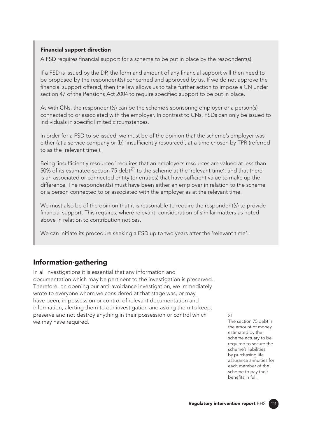#### Financial support direction

A FSD requires fnancial support for a scheme to be put in place by the respondent(s).

If a FSD is issued by the DP, the form and amount of any fnancial support will then need to be proposed by the respondent(s) concerned and approved by us. If we do not approve the financial support offered, then the law allows us to take further action to impose a CN under section 47 of the Pensions Act 2004 to require specifed support to be put in place.

As with CNs, the respondent(s) can be the scheme's sponsoring employer or a person(s) connected to or associated with the employer. In contrast to CNs, FSDs can only be issued to individuals in specific limited circumstances.

In order for a FSD to be issued, we must be of the opinion that the scheme's employer was either (a) a service company or (b) 'insufficiently resourced', at a time chosen by TPR (referred to as the 'relevant time').

Being 'insufficiently resourced' requires that an employer's resources are valued at less than 50% of its estimated section 75 debt<sup>21</sup> to the scheme at the 'relevant time', and that there is an associated or connected entity (or entities) that have suffcient value to make up the difference. The respondent(s) must have been either an employer in relation to the scheme or a person connected to or associated with the employer as at the relevant time.

We must also be of the opinion that it is reasonable to require the respondent(s) to provide fnancial support. This requires, where relevant, consideration of similar matters as noted above in relation to contribution notices.

We can initiate its procedure seeking a FSD up to two years after the 'relevant time'.

### Information-gathering

In all investigations it is essential that any information and documentation which may be pertinent to the investigation is preserved. Therefore, on opening our anti-avoidance investigation, we immediately wrote to everyone whom we considered at that stage was, or may have been, in possession or control of relevant documentation and information, alerting them to our investigation and asking them to keep, preserve and not destroy anything in their possession or control which we may have required.

21 The section 75 debt is the amount of money estimated by the scheme actuary to be required to secure the scheme's liabilities by purchasing life assurance annuities for each member of the scheme to pay their benefits in full.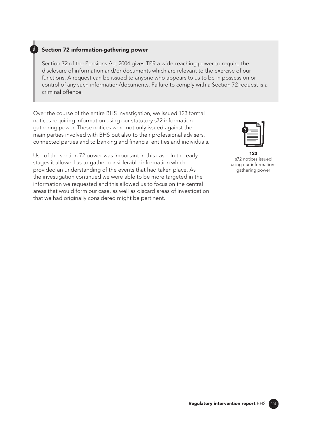#### *i* Section 72 information-gathering power

Section 72 of the Pensions Act 2004 gives TPR a wide-reaching power to require the disclosure of information and/or documents which are relevant to the exercise of our functions. A request can be issued to anyone who appears to us to be in possession or control of any such information/documents. Failure to comply with a Section 72 request is a criminal offence.

Over the course of the entire BHS investigation, we issued 123 formal notices requiring information using our statutory s72 informationgathering power. These notices were not only issued against the main parties involved with BHS but also to their professional advisers, connected parties and to banking and fnancial entities and individuals.

Use of the section 72 power was important in this case. In the early stages it allowed us to gather considerable information which provided an understanding of the events that had taken place. As the investigation continued we were able to be more targeted in the information we requested and this allowed us to focus on the central areas that would form our case, as well as discard areas of investigation that we had originally considered might be pertinent.



 123 s72 notices issued using our informationgathering power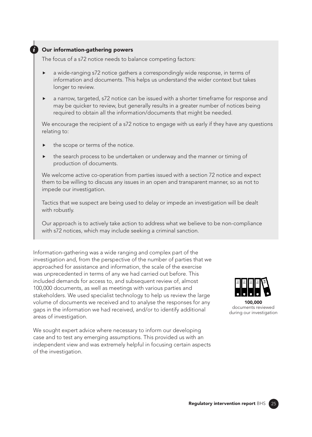#### *i* Our information-gathering powers

The focus of a s72 notice needs to balance competing factors:

- a wide-ranging s72 notice gathers a correspondingly wide response, in terms of information and documents. This helps us understand the wider context but takes longer to review.
- a narrow, targeted, s72 notice can be issued with a shorter timeframe for response and may be quicker to review, but generally results in a greater number of notices being required to obtain all the information/documents that might be needed.

We encourage the recipient of a s72 notice to engage with us early if they have any questions relating to:

- the scope or terms of the notice.
- the search process to be undertaken or underway and the manner or timing of production of documents.

We welcome active co-operation from parties issued with a section 72 notice and expect them to be willing to discuss any issues in an open and transparent manner, so as not to impede our investigation.

Tactics that we suspect are being used to delay or impede an investigation will be dealt with robustly.

Our approach is to actively take action to address what we believe to be non-compliance with s72 notices, which may include seeking a criminal sanction.

Information-gathering was a wide ranging and complex part of the investigation and, from the perspective of the number of parties that we approached for assistance and information, the scale of the exercise was unprecedented in terms of any we had carried out before. This included demands for access to, and subsequent review of, almost 100,000 documents, as well as meetings with various parties and stakeholders. We used specialist technology to help us review the large volume of documents we received and to analyse the responses for any gaps in the information we had received, and/or to identify additional areas of investigation.

We sought expert advice where necessary to inform our developing case and to test any emerging assumptions. This provided us with an independent view and was extremely helpful in focusing certain aspects of the investigation.

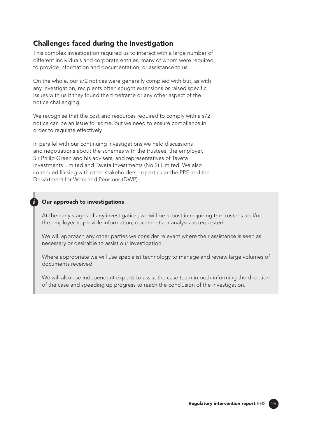# Challenges faced during the investigation

This complex investigation required us to interact with a large number of different individuals and corporate entities, many of whom were required to provide information and documentation, or assistance to us.

On the whole, our s72 notices were generally complied with but, as with any investigation, recipients often sought extensions or raised specifc issues with us if they found the timeframe or any other aspect of the notice challenging.

We recognise that the cost and resources required to comply with a s72 notice can be an issue for some, but we need to ensure compliance in order to regulate effectively.

In parallel with our continuing investigations we held discussions and negotiations about the schemes with the trustees, the employer, Sir Philip Green and his advisers, and representatives of Taveta Investments Limited and Taveta Investments (No.2) Limited. We also continued liaising with other stakeholders, in particular the PPF and the Department for Work and Pensions (DWP).

#### **Our approach to investigations**

At the early stages of any investigation, we will be robust in requiring the trustees and/or the employer to provide information, documents or analysis as requested.

We will approach any other parties we consider relevant where their assistance is seen as necessary or desirable to assist our investigation.

Where appropriate we will use specialist technology to manage and review large volumes of documents received.

We will also use independent experts to assist the case team in both informing the direction of the case and speeding up progress to reach the conclusion of the investigation.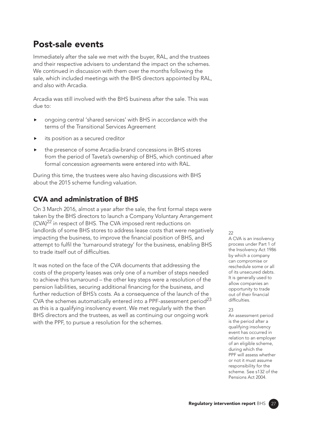# Post-sale events

Immediately after the sale we met with the buyer, RAL, and the trustees and their respective advisers to understand the impact on the schemes. We continued in discussion with them over the months following the sale, which included meetings with the BHS directors appointed by RAL, and also with Arcadia.

Arcadia was still involved with the BHS business after the sale. This was due to:

- ongoing central 'shared services' with BHS in accordance with the terms of the Transitional Services Agreement
- its position as a secured creditor
- the presence of some Arcadia-brand concessions in BHS stores from the period of Taveta's ownership of BHS, which continued after formal concession agreements were entered into with RAL.

During this time, the trustees were also having discussions with BHS about the 2015 scheme funding valuation.

# CVA and administration of BHS

On 3 March 2016, almost a year after the sale, the first formal steps were taken by the BHS directors to launch a Company Voluntary Arrangement (CVA)<sup>22</sup> in respect of BHS. The CVA imposed rent reductions on landlords of some BHS stores to address lease costs that were negatively impacting the business, to improve the fnancial position of BHS, and attempt to fulfil the 'turnaround strategy' for the business, enabling BHS to trade itself out of difficulties.

It was noted on the face of the CVA documents that addressing the costs of the property leases was only one of a number of steps needed to achieve this turnaround – the other key steps were a resolution of the pension liabilities, securing additional fnancing for the business, and further reduction of BHS's costs. As a consequence of the launch of the CVA the schemes automatically entered into a PPF-assessment period<sup>23</sup> as this is a qualifying insolvency event. We met regularly with the then BHS directors and the trustees, as well as continuing our ongoing work with the PPF, to pursue a resolution for the schemes.

#### $22$

A CVA is an insolvency process under Part 1 of the Insolvency Act 1986 by which a company can compromise or reschedule some or all of its unsecured debts. It is generally used to allow companies an opportunity to trade out of their fnancial difficulties.

#### $23$

An assessment period is the period after a qualifying insolvency event has occurred in relation to an employer of an eligible scheme, during which the PPF will assess whether or not it must assume responsibility for the scheme. See s132 of the Pensions Act 2004.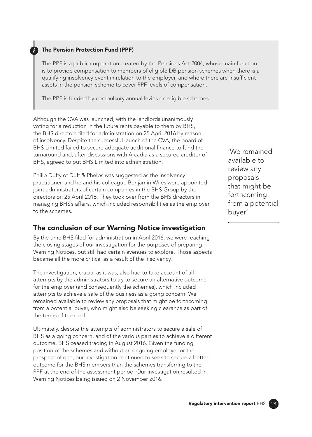#### **The Pension Protection Fund (PPF)**

The PPF is a public corporation created by the Pensions Act 2004, whose main function is to provide compensation to members of eligible DB pension schemes when there is a qualifying insolvency event in relation to the employer, and where there are insufficient assets in the pension scheme to cover PPF levels of compensation.

The PPF is funded by compulsory annual levies on eligible schemes.

Although the CVA was launched, with the landlords unanimously voting for a reduction in the future rents payable to them by BHS, the BHS directors fled for administration on 25 April 2016 by reason of insolvency. Despite the successful launch of the CVA, the board of BHS Limited failed to secure adequate additional finance to fund the turnaround and, after discussions with Arcadia as a secured creditor of BHS, agreed to put BHS Limited into administration.

Philip Duffy of Duff & Phelps was suggested as the insolvency practitioner, and he and his colleague Benjamin Wiles were appointed joint administrators of certain companies in the BHS Group by the directors on 25 April 2016. They took over from the BHS directors in managing BHS's affairs, which included responsibilities as the employer to the schemes.

### The conclusion of our Warning Notice investigation

By the time BHS fled for administration in April 2016, we were reaching the closing stages of our investigation for the purposes of preparing Warning Notices, but still had certain avenues to explore. Those aspects became all the more critical as a result of the insolvency.

The investigation, crucial as it was, also had to take account of all attempts by the administrators to try to secure an alternative outcome for the employer (and consequently the schemes), which included attempts to achieve a sale of the business as a going concern. We remained available to review any proposals that might be forthcoming from a potential buyer, who might also be seeking clearance as part of the terms of the deal.

Ultimately, despite the attempts of administrators to secure a sale of BHS as a going concern, and of the various parties to achieve a different outcome, BHS ceased trading in August 2016. Given the funding position of the schemes and without an ongoing employer or the prospect of one, our investigation continued to seek to secure a better outcome for the BHS members than the schemes transferring to the PPF at the end of the assessment period. Our investigation resulted in Warning Notices being issued on 2 November 2016.

'We remained available to review any proposals that might be forthcoming from a potential buyer'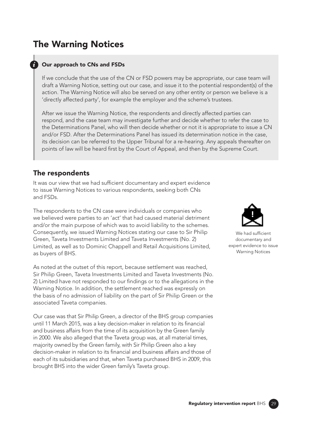# The Warning Notices

#### **Our approach to CNs and FSDs**

If we conclude that the use of the CN or FSD powers may be appropriate, our case team will draft a Warning Notice, setting out our case, and issue it to the potential respondent(s) of the action. The Warning Notice will also be served on any other entity or person we believe is a 'directly affected party', for example the employer and the scheme's trustees.

After we issue the Warning Notice, the respondents and directly affected parties can respond, and the case team may investigate further and decide whether to refer the case to the Determinations Panel, who will then decide whether or not it is appropriate to issue a CN and/or FSD. After the Determinations Panel has issued its determination notice in the case, its decision can be referred to the Upper Tribunal for a re-hearing. Any appeals thereafter on points of law will be heard frst by the Court of Appeal, and then by the Supreme Court.

### The respondents

It was our view that we had sufficient documentary and expert evidence to issue Warning Notices to various respondents, seeking both CNs and FSDs.

The respondents to the CN case were individuals or companies who we believed were parties to an 'act' that had caused material detriment and/or the main purpose of which was to avoid liability to the schemes. Consequently, we issued Warning Notices stating our case to Sir Philip Green, Taveta Investments Limited and Taveta Investments (No. 2) Limited, as well as to Dominic Chappell and Retail Acquisitions Limited, as buyers of BHS.

As noted at the outset of this report, because settlement was reached, Sir Philip Green, Taveta Investments Limited and Taveta Investments (No. 2) Limited have not responded to our fndings or to the allegations in the Warning Notice. In addition, the settlement reached was expressly on the basis of no admission of liability on the part of Sir Philip Green or the associated Taveta companies.

Our case was that Sir Philip Green, a director of the BHS group companies until 11 March 2015, was a key decision-maker in relation to its fnancial and business affairs from the time of its acquisition by the Green family in 2000. We also alleged that the Taveta group was, at all material times, majority owned by the Green family, with Sir Philip Green also a key decision-maker in relation to its fnancial and business affairs and those of each of its subsidiaries and that, when Taveta purchased BHS in 2009, this brought BHS into the wider Green family's Taveta group.



We had sufficient documentary and expert evidence to issue Warning Notices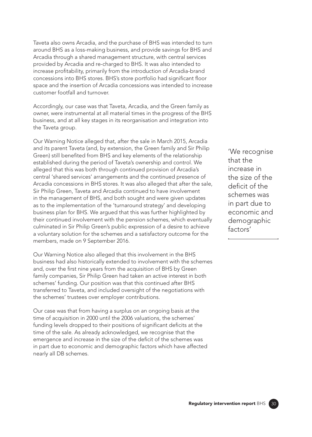Taveta also owns Arcadia, and the purchase of BHS was intended to turn around BHS as a loss-making business, and provide savings for BHS and Arcadia through a shared management structure, with central services provided by Arcadia and re-charged to BHS. It was also intended to increase proftability, primarily from the introduction of Arcadia-brand concessions into BHS stores. BHS's store portfolio had significant floor space and the insertion of Arcadia concessions was intended to increase customer footfall and turnover.

Accordingly, our case was that Taveta, Arcadia, and the Green family as owner, were instrumental at all material times in the progress of the BHS business, and at all key stages in its reorganisation and integration into the Taveta group.

Our Warning Notice alleged that, after the sale in March 2015, Arcadia and its parent Taveta (and, by extension, the Green family and Sir Philip Green) still benefted from BHS and key elements of the relationship established during the period of Taveta's ownership and control. We alleged that this was both through continued provision of Arcadia's central 'shared services' arrangements and the continued presence of Arcadia concessions in BHS stores. It was also alleged that after the sale, Sir Philip Green, Taveta and Arcadia continued to have involvement in the management of BHS, and both sought and were given updates as to the implementation of the 'turnaround strategy' and developing business plan for BHS. We argued that this was further highlighted by their continued involvement with the pension schemes, which eventually culminated in Sir Philip Green's public expression of a desire to achieve a voluntary solution for the schemes and a satisfactory outcome for the members, made on 9 September 2016.

Our Warning Notice also alleged that this involvement in the BHS business had also historically extended to involvement with the schemes and, over the first nine years from the acquisition of BHS by Green family companies, Sir Philip Green had taken an active interest in both schemes' funding. Our position was that this continued after BHS transferred to Taveta, and included oversight of the negotiations with the schemes' trustees over employer contributions.

Our case was that from having a surplus on an ongoing basis at the time of acquisition in 2000 until the 2006 valuations, the schemes' funding levels dropped to their positions of significant deficits at the time of the sale. As already acknowledged, we recognise that the emergence and increase in the size of the deficit of the schemes was in part due to economic and demographic factors which have affected nearly all DB schemes.

'We recognise that the increase in the size of the deficit of the schemes was in part due to economic and demographic factors'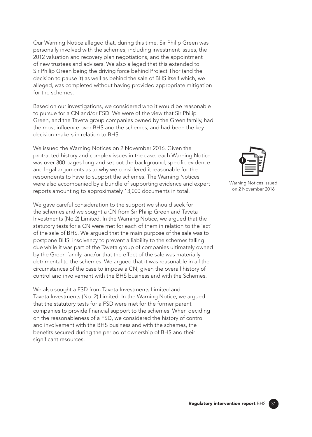Our Warning Notice alleged that, during this time, Sir Philip Green was personally involved with the schemes, including investment issues, the 2012 valuation and recovery plan negotiations, and the appointment of new trustees and advisers. We also alleged that this extended to Sir Philip Green being the driving force behind Project Thor (and the decision to pause it) as well as behind the sale of BHS itself which, we alleged, was completed without having provided appropriate mitigation for the schemes.

Based on our investigations, we considered who it would be reasonable to pursue for a CN and/or FSD. We were of the view that Sir Philip Green, and the Taveta group companies owned by the Green family, had the most infuence over BHS and the schemes, and had been the key decision-makers in relation to BHS.

We issued the Warning Notices on 2 November 2016. Given the protracted history and complex issues in the case, each Warning Notice was over 300 pages long and set out the background, specific evidence and legal arguments as to why we considered it reasonable for the respondents to have to support the schemes. The Warning Notices were also accompanied by a bundle of supporting evidence and expert reports amounting to approximately 13,000 documents in total.

We gave careful consideration to the support we should seek for the schemes and we sought a CN from Sir Philip Green and Taveta Investments (No 2) Limited. In the Warning Notice, we argued that the statutory tests for a CN were met for each of them in relation to the 'act' of the sale of BHS. We argued that the main purpose of the sale was to postpone BHS' insolvency to prevent a liability to the schemes falling due while it was part of the Taveta group of companies ultimately owned by the Green family, and/or that the effect of the sale was materially detrimental to the schemes. We argued that it was reasonable in all the circumstances of the case to impose a CN, given the overall history of control and involvement with the BHS business and with the Schemes.

We also sought a FSD from Taveta Investments Limited and Taveta Investments (No. 2) Limited. In the Warning Notice, we argued that the statutory tests for a FSD were met for the former parent companies to provide fnancial support to the schemes. When deciding on the reasonableness of a FSD, we considered the history of control and involvement with the BHS business and with the schemes, the benefts secured during the period of ownership of BHS and their significant resources.



Warning Notices issued on 2 November 2016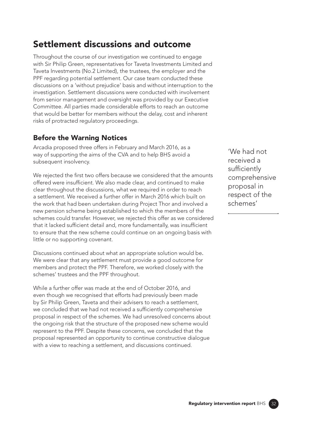# Settlement discussions and outcome

Throughout the course of our investigation we continued to engage with Sir Philip Green, representatives for Taveta Investments Limited and Taveta Investments (No.2 Limited), the trustees, the employer and the PPF regarding potential settlement. Our case team conducted these discussions on a 'without prejudice' basis and without interruption to the investigation. Settlement discussions were conducted with involvement from senior management and oversight was provided by our Executive Committee. All parties made considerable efforts to reach an outcome that would be better for members without the delay, cost and inherent risks of protracted regulatory proceedings.

### Before the Warning Notices

Arcadia proposed three offers in February and March 2016, as a way of supporting the aims of the CVA and to help BHS avoid a subsequent insolvency.

We rejected the first two offers because we considered that the amounts offered were insufficient. We also made clear, and continued to make clear throughout the discussions, what we required in order to reach a settlement. We received a further offer in March 2016 which built on the work that had been undertaken during Project Thor and involved a new pension scheme being established to which the members of the schemes could transfer. However, we rejected this offer as we considered that it lacked sufficient detail and, more fundamentally, was insufficient to ensure that the new scheme could continue on an ongoing basis with little or no supporting covenant.

Discussions continued about what an appropriate solution would be. We were clear that any settlement must provide a good outcome for members and protect the PPF. Therefore, we worked closely with the schemes' trustees and the PPF throughout.

While a further offer was made at the end of October 2016, and even though we recognised that efforts had previously been made by Sir Philip Green, Taveta and their advisers to reach a settlement, we concluded that we had not received a sufficiently comprehensive proposal in respect of the schemes. We had unresolved concerns about the ongoing risk that the structure of the proposed new scheme would represent to the PPF. Despite these concerns, we concluded that the proposal represented an opportunity to continue constructive dialogue with a view to reaching a settlement, and discussions continued.

'We had not received a sufficiently comprehensive proposal in respect of the schemes'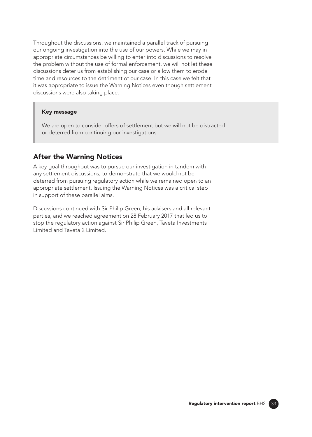Throughout the discussions, we maintained a parallel track of pursuing our ongoing investigation into the use of our powers. While we may in appropriate circumstances be willing to enter into discussions to resolve the problem without the use of formal enforcement, we will not let these discussions deter us from establishing our case or allow them to erode time and resources to the detriment of our case. In this case we felt that it was appropriate to issue the Warning Notices even though settlement discussions were also taking place.

#### Key message

We are open to consider offers of settlement but we will not be distracted or deterred from continuing our investigations.

### After the Warning Notices

A key goal throughout was to pursue our investigation in tandem with any settlement discussions, to demonstrate that we would not be deterred from pursuing regulatory action while we remained open to an appropriate settlement. Issuing the Warning Notices was a critical step in support of these parallel aims.

Discussions continued with Sir Philip Green, his advisers and all relevant parties, and we reached agreement on 28 February 2017 that led us to stop the regulatory action against Sir Philip Green, Taveta Investments Limited and Taveta 2 Limited.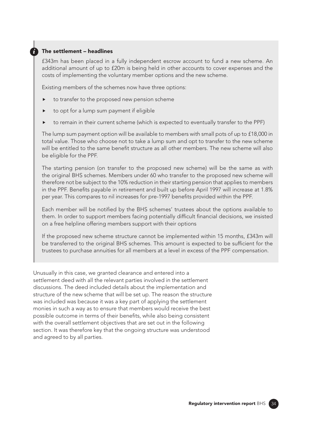#### *i* The settlement – headlines

£343m has been placed in a fully independent escrow account to fund a new scheme. An additional amount of up to £20m is being held in other accounts to cover expenses and the costs of implementing the voluntary member options and the new scheme.

Existing members of the schemes now have three options:

- to transfer to the proposed new pension scheme
- to opt for a lump sum payment if eligible
- to remain in their current scheme (which is expected to eventually transfer to the PPF)

The lump sum payment option will be available to members with small pots of up to £18,000 in total value. Those who choose not to take a lump sum and opt to transfer to the new scheme will be entitled to the same beneft structure as all other members. The new scheme will also be eligible for the PPF.

The starting pension (on transfer to the proposed new scheme) will be the same as with the original BHS schemes. Members under 60 who transfer to the proposed new scheme will therefore not be subject to the 10% reduction in their starting pension that applies to members in the PPF. Benefts payable in retirement and built up before April 1997 will increase at 1.8% per year. This compares to nil increases for pre-1997 benefts provided within the PPF.

Each member will be notifed by the BHS schemes' trustees about the options available to them. In order to support members facing potentially diffcult fnancial decisions, we insisted on a free helpline offering members support with their options

If the proposed new scheme structure cannot be implemented within 15 months, £343m will be transferred to the original BHS schemes. This amount is expected to be sufficient for the trustees to purchase annuities for all members at a level in excess of the PPF compensation.

Unusually in this case, we granted clearance and entered into a settlement deed with all the relevant parties involved in the settlement discussions. The deed included details about the implementation and structure of the new scheme that will be set up. The reason the structure was included was because it was a key part of applying the settlement monies in such a way as to ensure that members would receive the best possible outcome in terms of their benefts, while also being consistent with the overall settlement objectives that are set out in the following section. It was therefore key that the ongoing structure was understood and agreed to by all parties.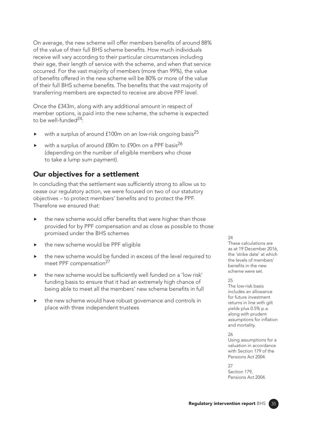On average, the new scheme will offer members benefits of around 88% of the value of their full BHS scheme benefts. How much individuals receive will vary according to their particular circumstances including their age, their length of service with the scheme, and when that service occurred. For the vast majority of members (more than 99%), the value of benefts offered in the new scheme will be 80% or more of the value of their full BHS scheme benefits. The benefits that the vast majority of transferring members are expected to receive are above PPF level.

Once the £343m, along with any additional amount in respect of member options, is paid into the new scheme, the scheme is expected to be well-funded $^{24}$ :

- with a surplus of around £100m on an low-risk ongoing basis<sup>25</sup>
- $\triangleright$  with a surplus of around  $f80m$  to  $f90m$  on a PPF basis<sup>26</sup> (depending on the number of eligible members who chose to take a lump sum payment).

# Our objectives for a settlement

In concluding that the settlement was sufficiently strong to allow us to cease our regulatory action, we were focused on two of our statutory objectives – to protect members' benefits and to protect the PPF. Therefore we ensured that:

- the new scheme would offer benefits that were higher than those provided for by PPF compensation and as close as possible to those promised under the BHS schemes
- the new scheme would be PPF eligible
- the new scheme would be funded in excess of the level required to meet PPF compensation<sup>27</sup>
- the new scheme would be sufficiently well funded on a 'low risk' funding basis to ensure that it had an extremely high chance of being able to meet all the members' new scheme benefts in full
- $\blacktriangleright$  the new scheme would have robust governance and controls in place with three independent trustees

#### 24

These calculations are as at 19 December 2016, the 'strike date' at which the levels of members' benefits in the new scheme were set.

#### 25

The low-risk basis includes an allowance for future investment returns in line with gilt yields plus 0.5% p.a. along with prudent assumptions for infation and mortality.

#### 26

Using assumptions for a valuation in accordance with Section 179 of the Pensions Act 2004.

27 Section 179, Pensions Act 2004.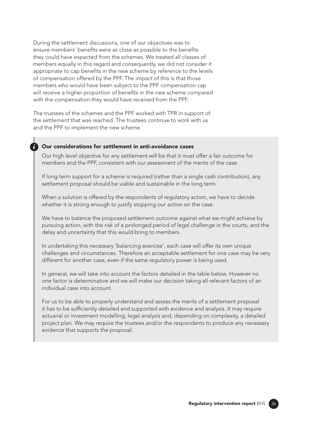During the settlement discussions, one of our objectives was to ensure members' benefits were as close as possible to the benefits they could have expected from the schemes. We treated all classes of members equally in this regard and consequently, we did not consider it appropriate to cap benefts in the new scheme by reference to the levels of compensation offered by the PPF. The impact of this is that those members who would have been subject to the PPF compensation cap will receive a higher proportion of benefits in the new scheme compared with the compensation they would have received from the PPF.

The trustees of the schemes and the PPF worked with TPR in support of the settlement that was reached. The trustees continue to work with us and the PPF to implement the new scheme.

#### *i* Our considerations for settlement in anti-avoidance cases

Our high level objective for any settlement will be that it must offer a fair outcome for members and the PPF, consistent with our assessment of the merits of the case.

If long term support for a scheme is required (rather than a single cash contribution), any settlement proposal should be viable and sustainable in the long term.

When a solution is offered by the respondents of regulatory action, we have to decide whether it is strong enough to justify stopping our action on the case.

We have to balance the proposed settlement outcome against what we might achieve by pursuing action, with the risk of a prolonged period of legal challenge in the courts, and the delay and uncertainty that this would bring to members.

In undertaking this necessary 'balancing exercise', each case will offer its own unique challenges and circumstances. Therefore an acceptable settlement for one case may be very different for another case, even if the same regulatory power is being used.

In general, we will take into account the factors detailed in the table below. However no one factor is determinative and we will make our decision taking all relevant factors of an individual case into account.

For us to be able to properly understand and assess the merits of a settlement proposal it has to be suffciently detailed and supported with evidence and analysis. It may require actuarial or investment modelling, legal analysis and, depending on complexity, a detailed project plan. We may require the trustees and/or the respondents to produce any necessary evidence that supports the proposal.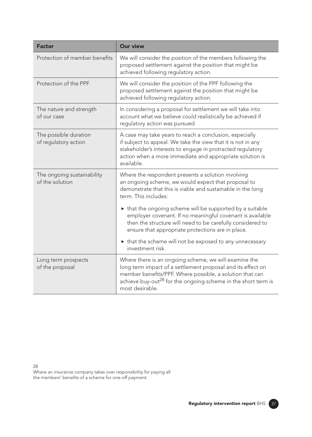| <b>Factor</b>                                 | <b>Our view</b>                                                                                                                                                                                                                                                                  |
|-----------------------------------------------|----------------------------------------------------------------------------------------------------------------------------------------------------------------------------------------------------------------------------------------------------------------------------------|
| Protection of member benefits                 | We will consider the position of the members following the<br>proposed settlement against the position that might be<br>achieved following regulatory action.                                                                                                                    |
| Protection of the PPF                         | We will consider the position of the PPF following the<br>proposed settlement against the position that might be<br>achieved following regulatory action.                                                                                                                        |
| The nature and strength<br>of our case        | In considering a proposal for settlement we will take into<br>account what we believe could realistically be achieved if<br>regulatory action was pursued.                                                                                                                       |
| The possible duration<br>of regulatory action | A case may take years to reach a conclusion, especially<br>if subject to appeal. We take the view that it is not in any<br>stakeholder's interests to engage in protracted regulatory<br>action when a more immediate and appropriate solution is<br>available.                  |
| The ongoing sustainability<br>of the solution | Where the respondent presents a solution involving<br>an ongoing scheme, we would expect that proposal to<br>demonstrate that this is viable and sustainable in the long<br>term. This includes:                                                                                 |
|                                               | If that the ongoing scheme will be supported by a suitable<br>employer covenant. If no meaningful covenant is available<br>then the structure will need to be carefully considered to<br>ensure that appropriate protections are in place.                                       |
|                                               | If that the scheme will not be exposed to any unnecessary<br>investment risk.                                                                                                                                                                                                    |
| Long term prospects<br>of the proposal        | Where there is an ongoing scheme, we will examine the<br>long term impact of a settlement proposal and its effect on<br>member benefits/PPF. Where possible, a solution that can<br>achieve buy-out <sup>28</sup> for the ongoing scheme in the short term is<br>most desirable. |

28

Where an insurance company takes over responsibility for paying all the members' benefts of a scheme for one-off payment.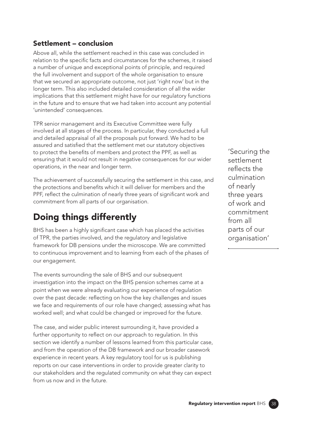### Settlement – conclusion

Above all, while the settlement reached in this case was concluded in relation to the specific facts and circumstances for the schemes, it raised a number of unique and exceptional points of principle, and required the full involvement and support of the whole organisation to ensure that we secured an appropriate outcome, not just 'right now' but in the longer term. This also included detailed consideration of all the wider implications that this settlement might have for our regulatory functions in the future and to ensure that we had taken into account any potential 'unintended' consequences.

TPR senior management and its Executive Committee were fully involved at all stages of the process. In particular, they conducted a full and detailed appraisal of all the proposals put forward. We had to be assured and satisfed that the settlement met our statutory objectives to protect the benefits of members and protect the PPF, as well as ensuring that it would not result in negative consequences for our wider operations, in the near and longer term.

The achievement of successfully securing the settlement in this case, and the protections and benefits which it will deliver for members and the PPF, reflect the culmination of nearly three years of significant work and commitment from all parts of our organisation.

# Doing things differently

BHS has been a highly significant case which has placed the activities of TPR, the parties involved, and the regulatory and legislative framework for DB pensions under the microscope. We are committed to continuous improvement and to learning from each of the phases of our engagement.

The events surrounding the sale of BHS and our subsequent investigation into the impact on the BHS pension schemes came at a point when we were already evaluating our experience of regulation over the past decade: refecting on how the key challenges and issues we face and requirements of our role have changed; assessing what has worked well; and what could be changed or improved for the future.

The case, and wider public interest surrounding it, have provided a further opportunity to reflect on our approach to regulation. In this section we identify a number of lessons learned from this particular case, and from the operation of the DB framework and our broader casework experience in recent years. A key regulatory tool for us is publishing reports on our case interventions in order to provide greater clarity to our stakeholders and the regulated community on what they can expect from us now and in the future.

'Securing the settlement reflects the culmination of nearly three years of work and commitment from all parts of our organisation'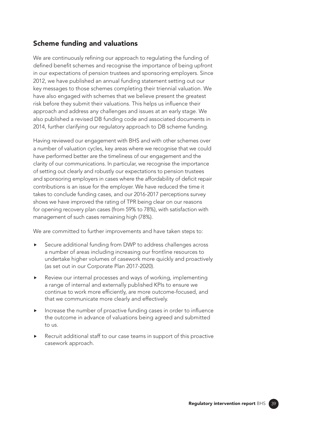# Scheme funding and valuations

We are continuously refining our approach to regulating the funding of defined benefit schemes and recognise the importance of being upfront in our expectations of pension trustees and sponsoring employers. Since 2012, we have published an annual funding statement setting out our key messages to those schemes completing their triennial valuation. We have also engaged with schemes that we believe present the greatest risk before they submit their valuations. This helps us infuence their approach and address any challenges and issues at an early stage. We also published a revised DB funding code and associated documents in 2014, further clarifying our regulatory approach to DB scheme funding.

Having reviewed our engagement with BHS and with other schemes over a number of valuation cycles, key areas where we recognise that we could have performed better are the timeliness of our engagement and the clarity of our communications. In particular, we recognise the importance of setting out clearly and robustly our expectations to pension trustees and sponsoring employers in cases where the affordability of deficit repair contributions is an issue for the employer. We have reduced the time it takes to conclude funding cases, and our 2016-2017 perceptions survey shows we have improved the rating of TPR being clear on our reasons for opening recovery plan cases (from 59% to 78%), with satisfaction with management of such cases remaining high (78%).

We are committed to further improvements and have taken steps to:

- Secure additional funding from DWP to address challenges across a number of areas including increasing our frontline resources to undertake higher volumes of casework more quickly and proactively (as set out in our Corporate Plan 2017-2020).
- Review our internal processes and ways of working, implementing a range of internal and externally published KPIs to ensure we continue to work more efficiently, are more outcome-focused, and that we communicate more clearly and effectively.
- Increase the number of proactive funding cases in order to infuence the outcome in advance of valuations being agreed and submitted to us.
- Recruit additional staff to our case teams in support of this proactive casework approach.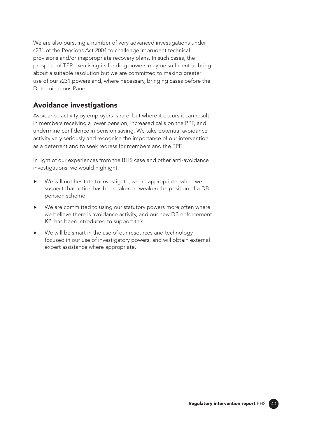We are also pursuing a number of very advanced investigations under s231 of the Pensions Act 2004 to challenge imprudent technical provisions and/or inappropriate recovery plans. In such cases, the prospect of TPR exercising its funding powers may be sufficient to bring about a suitable resolution but we are committed to making greater use of our s231 powers and, where necessary, bringing cases before the Determinations Panel.

# Avoidance investigations

Avoidance activity by employers is rare, but where it occurs it can result in members receiving a lower pension, increased calls on the PPF, and undermine confdence in pension saving. We take potential avoidance activity very seriously and recognise the importance of our intervention as a deterrent and to seek redress for members and the PPF.

In light of our experiences from the BHS case and other anti-avoidance investigations, we would highlight:

- We will not hesitate to investigate, where appropriate, when we suspect that action has been taken to weaken the position of a DB pension scheme.
- ▶ We are committed to using our statutory powers more often where we believe there is avoidance activity, and our new DB enforcement KPI has been introduced to support this.
- We will be smart in the use of our resources and technology, focused in our use of investigatory powers, and will obtain external expert assistance where appropriate.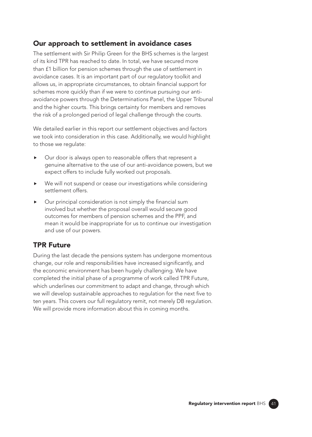### Our approach to settlement in avoidance cases

The settlement with Sir Philip Green for the BHS schemes is the largest of its kind TPR has reached to date. In total, we have secured more than £1 billion for pension schemes through the use of settlement in avoidance cases. It is an important part of our regulatory toolkit and allows us, in appropriate circumstances, to obtain fnancial support for schemes more quickly than if we were to continue pursuing our antiavoidance powers through the Determinations Panel, the Upper Tribunal and the higher courts. This brings certainty for members and removes the risk of a prolonged period of legal challenge through the courts.

We detailed earlier in this report our settlement objectives and factors we took into consideration in this case. Additionally, we would highlight to those we regulate:

- Our door is always open to reasonable offers that represent a genuine alternative to the use of our anti-avoidance powers, but we expect offers to include fully worked out proposals.
- We will not suspend or cease our investigations while considering settlement offers.
- Our principal consideration is not simply the fnancial sum involved but whether the proposal overall would secure good outcomes for members of pension schemes and the PPF, and mean it would be inappropriate for us to continue our investigation and use of our powers.

# TPR Future

During the last decade the pensions system has undergone momentous change, our role and responsibilities have increased signifcantly, and the economic environment has been hugely challenging. We have completed the initial phase of a programme of work called TPR Future, which underlines our commitment to adapt and change, through which we will develop sustainable approaches to regulation for the next five to ten years. This covers our full regulatory remit, not merely DB regulation. We will provide more information about this in coming months.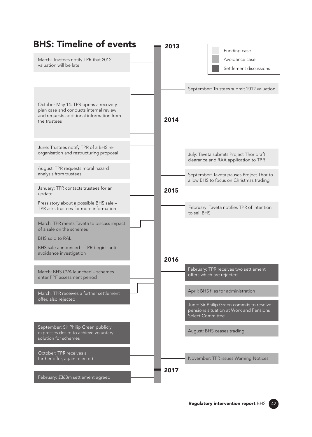| <b>BHS: Timeline of events</b>                                                    | 2013 |                                            |
|-----------------------------------------------------------------------------------|------|--------------------------------------------|
|                                                                                   |      | Funding case                               |
| March: Trustees notify TPR that 2012                                              |      | Avoidance case                             |
| valuation will be late                                                            |      | Settlement discussions                     |
|                                                                                   |      |                                            |
|                                                                                   |      | September: Trustees submit 2012 valuation  |
|                                                                                   |      |                                            |
| October-May 14: TPR opens a recovery                                              |      |                                            |
| plan case and conducts internal review                                            |      |                                            |
| and requests additional information from<br>the trustees                          | 2014 |                                            |
|                                                                                   |      |                                            |
|                                                                                   |      |                                            |
| June: Trustees notify TPR of a BHS re-                                            |      |                                            |
| organisation and restructuring proposal                                           |      | July: Taveta submits Project Thor draft    |
|                                                                                   |      | clearance and RAA application to TPR       |
| August: TPR requests moral hazard<br>analysis from trustees                       |      | September: Taveta pauses Project Thor to   |
|                                                                                   |      | allow BHS to focus on Christmas trading    |
| January: TPR contacts trustees for an                                             | 2015 |                                            |
| update                                                                            |      |                                            |
| Press story about a possible BHS sale -<br>TPR asks trustees for more information |      | February: Taveta notifies TPR of intention |
|                                                                                   |      | to sell BHS                                |
| March: TPR meets Taveta to discuss impact                                         |      |                                            |
| of a sale on the schemes                                                          |      |                                            |
| <b>BHS</b> sold to RAL                                                            |      |                                            |
| BHS sale announced - TPR begins anti-<br>avoidance investigation                  |      |                                            |
|                                                                                   | 2016 |                                            |
| March: BHS CVA launched - schemes                                                 |      | February: TPR receives two settlement      |
| enter PPF assessment period                                                       |      | offers which are rejected                  |
|                                                                                   |      |                                            |
| March: TPR receives a further settlement                                          |      | April: BHS files for administration        |
| offer, also rejected                                                              |      | June: Sir Philip Green commits to resolve  |
|                                                                                   |      | pensions situation at Work and Pensions    |
|                                                                                   |      | Select Committee                           |
| September: Sir Philip Green publicly                                              |      | August: BHS ceases trading                 |
| expresses desire to achieve voluntary<br>solution for schemes                     |      |                                            |
|                                                                                   |      |                                            |
| October: TPR receives a                                                           |      |                                            |
| further offer, again rejected                                                     |      | November: TPR issues Warning Notices       |
|                                                                                   | 2017 |                                            |
| February: £363m settlement agreed                                                 |      |                                            |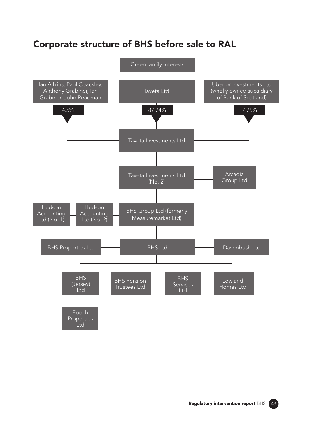# Corporate structure of BHS before sale to RAL

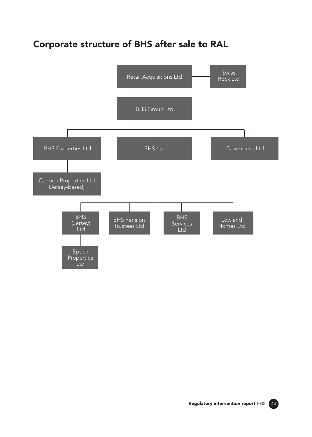# Corporate structure of BHS after sale to RAL